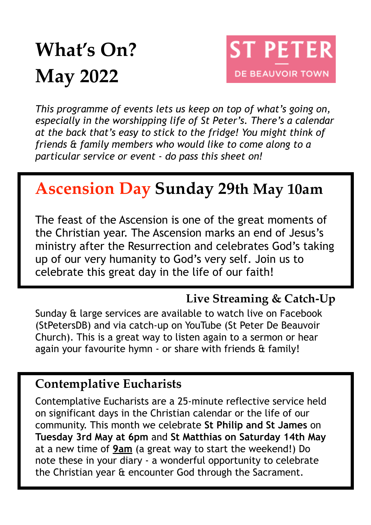# **What's On? May 2022**



*This programme of events lets us keep on top of what's going on, especially in the worshipping life of St Peter's. There's a calendar at the back that's easy to stick to the fridge! You might think of friends & family members who would like to come along to a particular service or event - do pass this sheet on!*

# **Ascension Day Sunday 29th May 10am**

The feast of the Ascension is one of the great moments of the Christian year. The Ascension marks an end of Jesus's ministry after the Resurrection and celebrates God's taking up of our very humanity to God's very self. Join us to celebrate this great day in the life of our faith!

#### **Live Streaming & Catch-Up**

Sunday & large services are available to watch live on Facebook (StPetersDB) and via catch-up on YouTube (St Peter De Beauvoir Church). This is a great way to listen again to a sermon or hear again your favourite hymn - or share with friends & family!

#### **Contemplative Eucharists**

Contemplative Eucharists are a 25-minute reflective service held on significant days in the Christian calendar or the life of our community. This month we celebrate **St Philip and St James** on **Tuesday 3rd May at 6pm** and **St Matthias on Saturday 14th May**  at a new time of **9am** (a great way to start the weekend!) Do note these in your diary - a wonderful opportunity to celebrate the Christian year & encounter God through the Sacrament.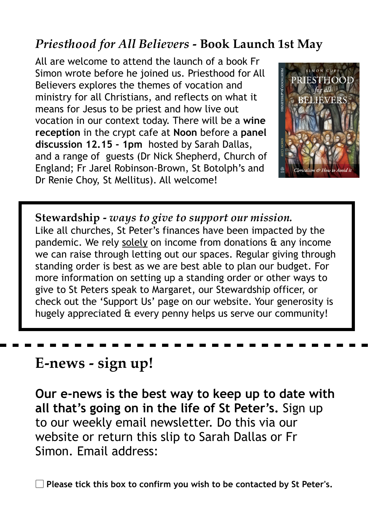#### *Priesthood for All Believers* **- Book Launch 1st May**

All are welcome to attend the launch of a book Fr Simon wrote before he joined us. Priesthood for All Believers explores the themes of vocation and ministry for all Christians, and reflects on what it means for Jesus to be priest and how live out vocation in our context today. There will be a **wine reception** in the crypt cafe at **Noon** before a **panel discussion 12.15 - 1pm** hosted by Sarah Dallas, and a range of guests (Dr Nick Shepherd, Church of England; Fr Jarel Robinson-Brown, St Botolph's and Dr Renie Choy, St Mellitus). All welcome!



**Stewardship -** *ways to give to support our mission.*  Like all churches, St Peter's finances have been impacted by the pandemic. We rely solely on income from donations & any income we can raise through letting out our spaces. Regular giving through standing order is best as we are best able to plan our budget. For more information on setting up a standing order or other ways to give to St Peters speak to Margaret, our Stewardship officer, or check out the 'Support Us' page on our website. Your generosity is hugely appreciated & every penny helps us serve our community!

## **E-news - sign up!**

**Our e-news is the best way to keep up to date with all that's going on in the life of St Peter's.** Sign up to our weekly email newsletter. Do this via our website or return this slip to Sarah Dallas or Fr Simon. Email address:

▢ **Please tick this box to confirm you wish to be contacted by St Peter's.**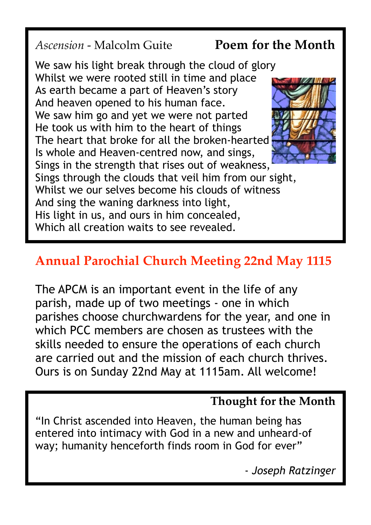#### *Ascension* - Malcolm Guite **Poem for the Month**

We saw his light break through the cloud of glory Whilst we were rooted still in time and place As earth became a part of Heaven's story And heaven opened to his human face. We saw him go and yet we were not parted He took us with him to the heart of things The heart that broke for all the broken-hearted Is whole and Heaven-centred now, and sings, Sings in the strength that rises out of weakness, Sings through the clouds that veil him from our sight, Whilst we our selves become his clouds of witness And sing the waning darkness into light, His light in us, and ours in him concealed, Which all creation waits to see revealed.

# **Annual Parochial Church Meeting 22nd May 1115**

The APCM is an important event in the life of any parish, made up of two meetings - one in which parishes choose churchwardens for the year, and one in which PCC members are chosen as trustees with the skills needed to ensure the operations of each church are carried out and the mission of each church thrives. Ours is on Sunday 22nd May at 1115am. All welcome!

#### **Thought for the Month**

"In Christ ascended into Heaven, the human being has entered into intimacy with God in a new and unheard-of way; humanity henceforth finds room in God for ever"

- *Joseph Ratzinger*